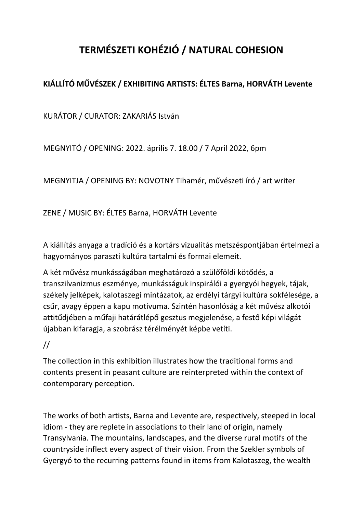## **TERMÉSZETI KOHÉZIÓ / NATURAL COHESION**

## **KIÁLLÍTÓ MŰVÉSZEK / EXHIBITING ARTISTS: ÉLTES Barna, HORVÁTH Levente**

KURÁTOR / CURATOR: ZAKARIÁS István

MEGNYITÓ / OPENING: 2022. április 7. 18.00 / 7 April 2022, 6pm

MEGNYITJA / OPENING BY: NOVOTNY Tihamér, művészeti író / art writer

ZENE / MUSIC BY: ÉLTES Barna, HORVÁTH Levente

A kiállítás anyaga a tradíció és a kortárs vizualitás metszéspontjában értelmezi a hagyományos paraszti kultúra tartalmi és formai elemeit.

A két művész munkásságában meghatározó a szülőföldi kötődés, a transzilvanizmus eszménye, munkásságuk inspirálói a gyergyói hegyek, tájak, székely jelképek, kalotaszegi mintázatok, az erdélyi tárgyi kultúra sokfélesége, a csűr, avagy éppen a kapu motívuma. Szintén hasonlóság a két művész alkotói attitűdjében a műfaji határátlépő gesztus megjelenése, a festő képi világát újabban kifaragja, a szobrász térélményét képbe vetíti.

## //

The collection in this exhibition illustrates how the traditional forms and contents present in peasant culture are reinterpreted within the context of contemporary perception.

The works of both artists, Barna and Levente are, respectively, steeped in local idiom - they are replete in associations to their land of origin, namely Transylvania. The mountains, landscapes, and the diverse rural motifs of the countryside inflect every aspect of their vision. From the Szekler symbols of Gyergyó to the recurring patterns found in items from Kalotaszeg, the wealth